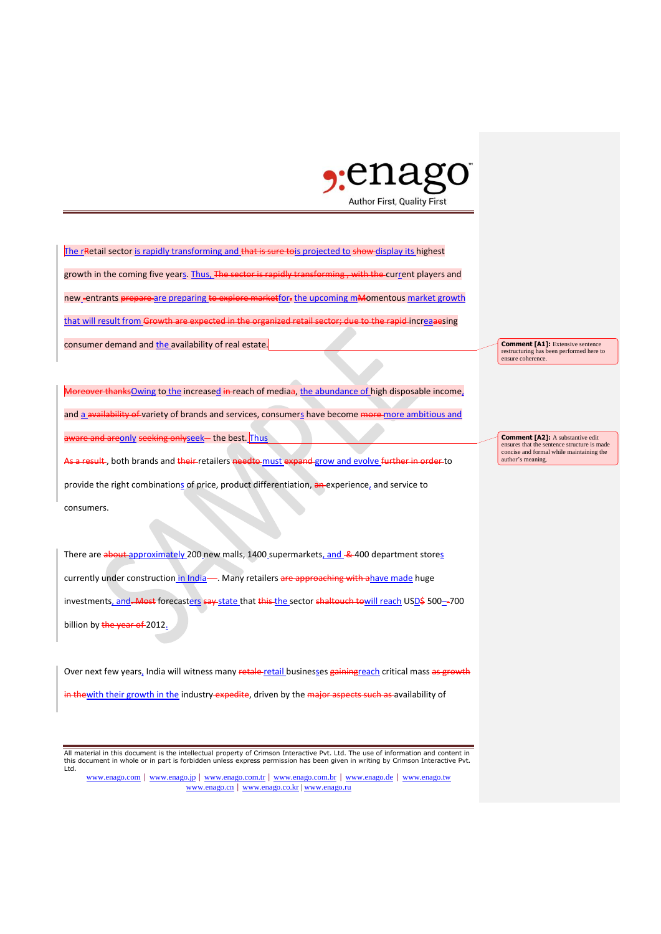

The rRetail sector is rapidly transforming and that is sure tois projected to show display its highest growth in the coming five years. Thus, The sector is rapidly transforming, with the current players and new\_entrants prepare are preparing to explore marketfor-the upcoming mMomentous market growth that will result from Growth are expected in the organized retail sector; due to the rapid increaaesing consumer demand and the availability of real estate.

Moreover thanksOwing to the increased in reach of mediaa, the abundance of high disposable income, and a availability of variety of brands and services, consumers have become more more ambitious and are and areonly seeking onlyseek— the best. Thus

As a result, both brands and their retailers needto must expand grow and evolve further in order to provide the right combinations of price, product differentiation, an experience, and service to consumers.

There are about approximately 200 new malls, 1400 supermarkets, and & 400 department stores currently under construction in India-. Many retailers are approaching with ahave made huge investments, and - Most forecasters say state that this the sector shaltouch towill reach USD\$ 500-700 billion by the year of 2012.

Over next few years, India will witness many retale-retail businesses gainingreach critical mass as growth thewith their growth in the industry expedite, driven by the major aspects such as availability of

All material in this document is the intellectual property of Crimson Interactive Pvt. Ltd. The use of information and content in this document in whole or in part is forbidden unless express permission has been given in writing by Crimson Interactive Pvt. Ltd.

www.enago.com | www.enago.jp | www.enago.com.tr | www.enago.com.br | www.enago.de | www.enago.tw www.enago.cn | www.enago.co.kr | www.enago.ru

**Comment [A1]:** Extensive sentence restructuring has been performed here to ensure coherence.

**Comment [A2]:** A substantive edit ensures that the sentence structure is made concise and formal while maintaining the author's meaning.